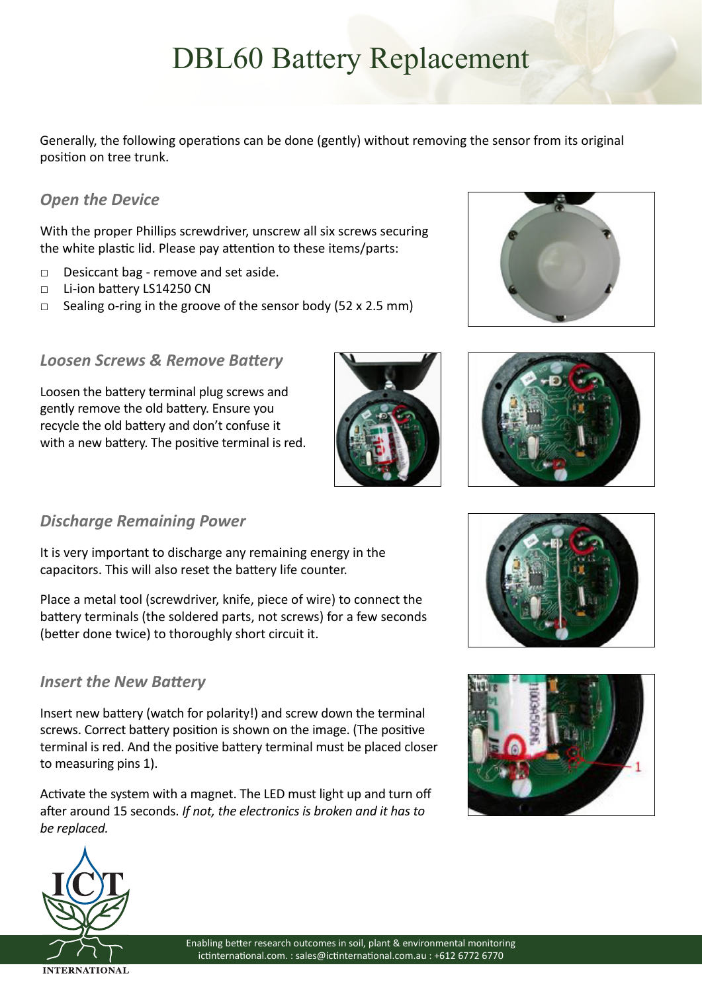# DBL60 Battery Replacement

Generally, the following operations can be done (gently) without removing the sensor from its original position on tree trunk.

### *Open the Device*

With the proper Phillips screwdriver, unscrew all six screws securing the white plastic lid. Please pay attention to these items/parts:

- □ Desiccant bag remove and set aside.
- □ Li-ion battery LS14250 CN
- $\Box$  Sealing o-ring in the groove of the sensor body (52 x 2.5 mm)

### *Loosen Screws & Remove Battery*

Loosen the battery terminal plug screws and gently remove the old battery. Ensure you recycle the old battery and don't confuse it with a new battery. The positive terminal is red.

### *Discharge Remaining Power*

It is very important to discharge any remaining energy in the capacitors. This will also reset the battery life counter.

Place a metal tool (screwdriver, knife, piece of wire) to connect the battery terminals (the soldered parts, not screws) for a few seconds (better done twice) to thoroughly short circuit it.

### *Insert the New Battery*

Insert new battery (watch for polarity!) and screw down the terminal screws. Correct battery position is shown on the image. (The positive terminal is red. And the positive battery terminal must be placed closer to measuring pins 1).

Activate the system with a magnet. The LED must light up and turn off after around 15 seconds. *If not, the electronics is broken and it has to be replaced.*